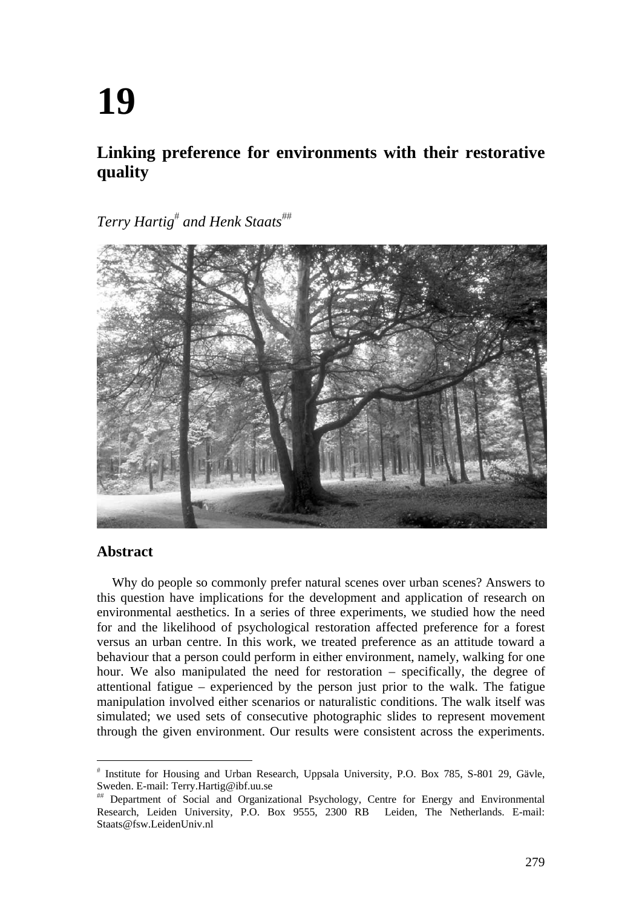# **19**

# **Linking preference for environments with their restorative quality**

 $Terry$  Hartig<sup>#</sup> and Henk Staats<sup>##</sup>



# **Abstract**

Why do people so commonly prefer natural scenes over urban scenes? Answers to this question have implications for the development and application of research on environmental aesthetics. In a series of three experiments, we studied how the need for and the likelihood of psychological restoration affected preference for a forest versus an urban centre. In this work, we treated preference as an attitude toward a behaviour that a person could perform in either environment, namely, walking for one hour. We also manipulated the need for restoration – specifically, the degree of attentional fatigue – experienced by the person just prior to the walk. The fatigue manipulation involved either scenarios or naturalistic conditions. The walk itself was simulated; we used sets of consecutive photographic slides to represent movement through the given environment. Our results were consistent across the experiments.

<sup>#</sup> Institute for Housing and Urban Research, Uppsala University, P.O. Box 785, S-801 29, Gävle, Sweden. E-mail: Terry.Hartig@ibf.uu.se

Department of Social and Organizational Psychology, Centre for Energy and Environmental Research, Leiden University, P.O. Box 9555, 2300 RB Leiden, The Netherlands. E-mail: Staats@fsw.LeidenUniv.nl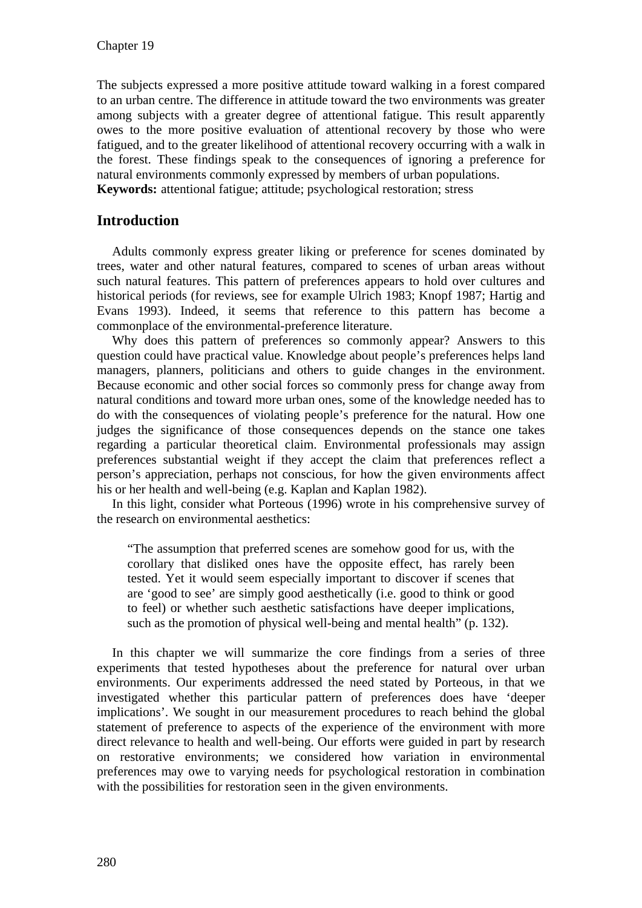The subjects expressed a more positive attitude toward walking in a forest compared to an urban centre. The difference in attitude toward the two environments was greater among subjects with a greater degree of attentional fatigue. This result apparently owes to the more positive evaluation of attentional recovery by those who were fatigued, and to the greater likelihood of attentional recovery occurring with a walk in the forest. These findings speak to the consequences of ignoring a preference for natural environments commonly expressed by members of urban populations. **Keywords:** attentional fatigue; attitude; psychological restoration; stress

# **Introduction**

Adults commonly express greater liking or preference for scenes dominated by trees, water and other natural features, compared to scenes of urban areas without such natural features. This pattern of preferences appears to hold over cultures and historical periods (for reviews, see for example Ulrich 1983; Knopf 1987; Hartig and Evans 1993). Indeed, it seems that reference to this pattern has become a commonplace of the environmental-preference literature.

Why does this pattern of preferences so commonly appear? Answers to this question could have practical value. Knowledge about people's preferences helps land managers, planners, politicians and others to guide changes in the environment. Because economic and other social forces so commonly press for change away from natural conditions and toward more urban ones, some of the knowledge needed has to do with the consequences of violating people's preference for the natural. How one judges the significance of those consequences depends on the stance one takes regarding a particular theoretical claim. Environmental professionals may assign preferences substantial weight if they accept the claim that preferences reflect a person's appreciation, perhaps not conscious, for how the given environments affect his or her health and well-being (e.g. Kaplan and Kaplan 1982).

In this light, consider what Porteous (1996) wrote in his comprehensive survey of the research on environmental aesthetics:

"The assumption that preferred scenes are somehow good for us, with the corollary that disliked ones have the opposite effect, has rarely been tested. Yet it would seem especially important to discover if scenes that are 'good to see' are simply good aesthetically (i.e. good to think or good to feel) or whether such aesthetic satisfactions have deeper implications, such as the promotion of physical well-being and mental health" (p. 132).

In this chapter we will summarize the core findings from a series of three experiments that tested hypotheses about the preference for natural over urban environments. Our experiments addressed the need stated by Porteous, in that we investigated whether this particular pattern of preferences does have 'deeper implications'. We sought in our measurement procedures to reach behind the global statement of preference to aspects of the experience of the environment with more direct relevance to health and well-being. Our efforts were guided in part by research on restorative environments; we considered how variation in environmental preferences may owe to varying needs for psychological restoration in combination with the possibilities for restoration seen in the given environments.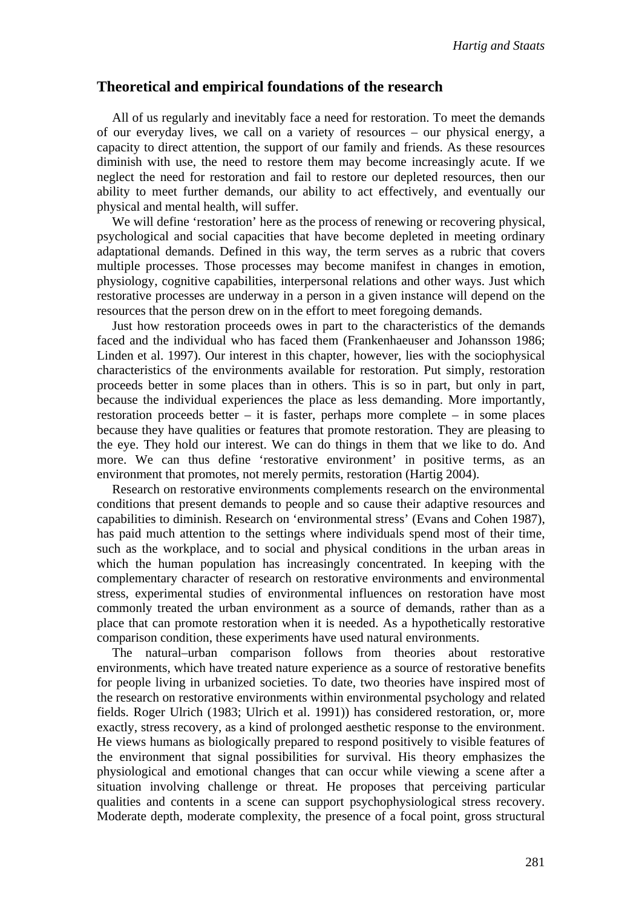# **Theoretical and empirical foundations of the research**

All of us regularly and inevitably face a need for restoration. To meet the demands of our everyday lives, we call on a variety of resources – our physical energy, a capacity to direct attention, the support of our family and friends. As these resources diminish with use, the need to restore them may become increasingly acute. If we neglect the need for restoration and fail to restore our depleted resources, then our ability to meet further demands, our ability to act effectively, and eventually our physical and mental health, will suffer.

We will define 'restoration' here as the process of renewing or recovering physical, psychological and social capacities that have become depleted in meeting ordinary adaptational demands. Defined in this way, the term serves as a rubric that covers multiple processes. Those processes may become manifest in changes in emotion, physiology, cognitive capabilities, interpersonal relations and other ways. Just which restorative processes are underway in a person in a given instance will depend on the resources that the person drew on in the effort to meet foregoing demands.

Just how restoration proceeds owes in part to the characteristics of the demands faced and the individual who has faced them (Frankenhaeuser and Johansson 1986; Linden et al. 1997). Our interest in this chapter, however, lies with the sociophysical characteristics of the environments available for restoration. Put simply, restoration proceeds better in some places than in others. This is so in part, but only in part, because the individual experiences the place as less demanding. More importantly, restoration proceeds better – it is faster, perhaps more complete – in some places because they have qualities or features that promote restoration. They are pleasing to the eye. They hold our interest. We can do things in them that we like to do. And more. We can thus define 'restorative environment' in positive terms, as an environment that promotes, not merely permits, restoration (Hartig 2004).

Research on restorative environments complements research on the environmental conditions that present demands to people and so cause their adaptive resources and capabilities to diminish. Research on 'environmental stress' (Evans and Cohen 1987), has paid much attention to the settings where individuals spend most of their time, such as the workplace, and to social and physical conditions in the urban areas in which the human population has increasingly concentrated. In keeping with the complementary character of research on restorative environments and environmental stress, experimental studies of environmental influences on restoration have most commonly treated the urban environment as a source of demands, rather than as a place that can promote restoration when it is needed. As a hypothetically restorative comparison condition, these experiments have used natural environments.

The natural–urban comparison follows from theories about restorative environments, which have treated nature experience as a source of restorative benefits for people living in urbanized societies. To date, two theories have inspired most of the research on restorative environments within environmental psychology and related fields. Roger Ulrich (1983; Ulrich et al. 1991)) has considered restoration, or, more exactly, stress recovery, as a kind of prolonged aesthetic response to the environment. He views humans as biologically prepared to respond positively to visible features of the environment that signal possibilities for survival. His theory emphasizes the physiological and emotional changes that can occur while viewing a scene after a situation involving challenge or threat. He proposes that perceiving particular qualities and contents in a scene can support psychophysiological stress recovery. Moderate depth, moderate complexity, the presence of a focal point, gross structural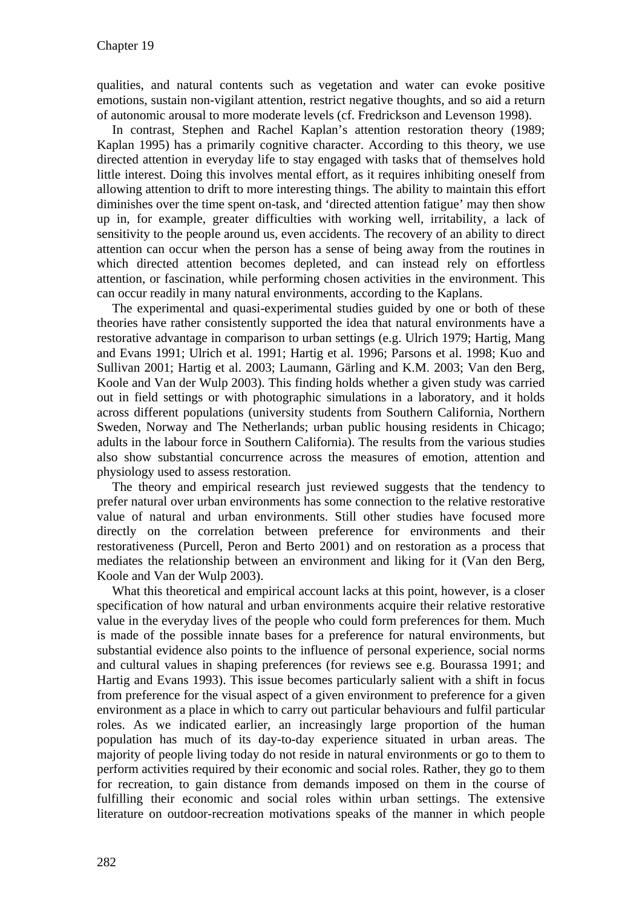qualities, and natural contents such as vegetation and water can evoke positive emotions, sustain non-vigilant attention, restrict negative thoughts, and so aid a return of autonomic arousal to more moderate levels (cf. Fredrickson and Levenson 1998).

In contrast, Stephen and Rachel Kaplan's attention restoration theory (1989; Kaplan 1995) has a primarily cognitive character. According to this theory, we use directed attention in everyday life to stay engaged with tasks that of themselves hold little interest. Doing this involves mental effort, as it requires inhibiting oneself from allowing attention to drift to more interesting things. The ability to maintain this effort diminishes over the time spent on-task, and 'directed attention fatigue' may then show up in, for example, greater difficulties with working well, irritability, a lack of sensitivity to the people around us, even accidents. The recovery of an ability to direct attention can occur when the person has a sense of being away from the routines in which directed attention becomes depleted, and can instead rely on effortless attention, or fascination, while performing chosen activities in the environment. This can occur readily in many natural environments, according to the Kaplans.

The experimental and quasi-experimental studies guided by one or both of these theories have rather consistently supported the idea that natural environments have a restorative advantage in comparison to urban settings (e.g. Ulrich 1979; Hartig, Mang and Evans 1991; Ulrich et al. 1991; Hartig et al. 1996; Parsons et al. 1998; Kuo and Sullivan 2001; Hartig et al. 2003; Laumann, Gärling and K.M. 2003; Van den Berg, Koole and Van der Wulp 2003). This finding holds whether a given study was carried out in field settings or with photographic simulations in a laboratory, and it holds across different populations (university students from Southern California, Northern Sweden, Norway and The Netherlands; urban public housing residents in Chicago; adults in the labour force in Southern California). The results from the various studies also show substantial concurrence across the measures of emotion, attention and physiology used to assess restoration.

The theory and empirical research just reviewed suggests that the tendency to prefer natural over urban environments has some connection to the relative restorative value of natural and urban environments. Still other studies have focused more directly on the correlation between preference for environments and their restorativeness (Purcell, Peron and Berto 2001) and on restoration as a process that mediates the relationship between an environment and liking for it (Van den Berg, Koole and Van der Wulp 2003).

What this theoretical and empirical account lacks at this point, however, is a closer specification of how natural and urban environments acquire their relative restorative value in the everyday lives of the people who could form preferences for them. Much is made of the possible innate bases for a preference for natural environments, but substantial evidence also points to the influence of personal experience, social norms and cultural values in shaping preferences (for reviews see e.g. Bourassa 1991; and Hartig and Evans 1993). This issue becomes particularly salient with a shift in focus from preference for the visual aspect of a given environment to preference for a given environment as a place in which to carry out particular behaviours and fulfil particular roles. As we indicated earlier, an increasingly large proportion of the human population has much of its day-to-day experience situated in urban areas. The majority of people living today do not reside in natural environments or go to them to perform activities required by their economic and social roles. Rather, they go to them for recreation, to gain distance from demands imposed on them in the course of fulfilling their economic and social roles within urban settings. The extensive literature on outdoor-recreation motivations speaks of the manner in which people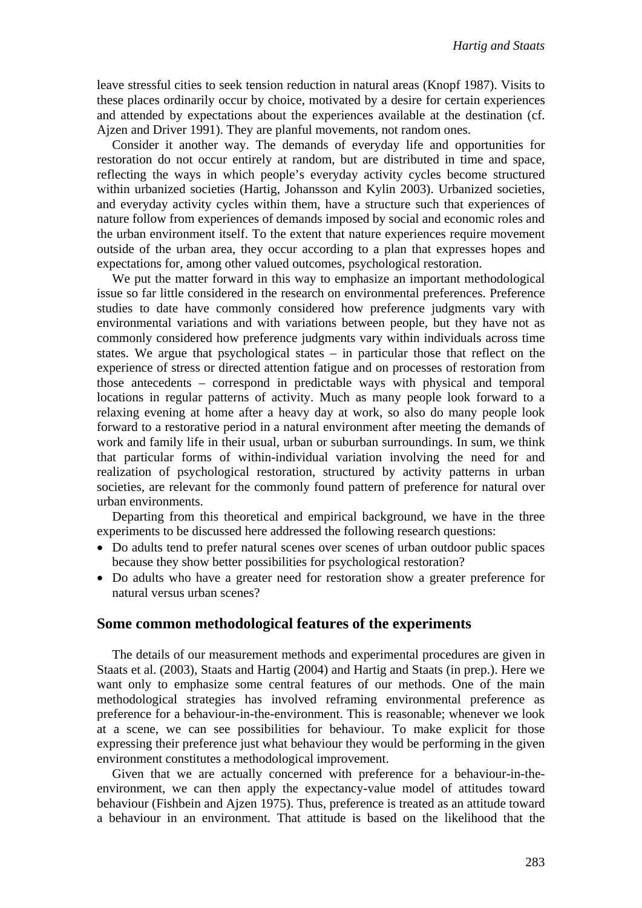leave stressful cities to seek tension reduction in natural areas (Knopf 1987). Visits to these places ordinarily occur by choice, motivated by a desire for certain experiences and attended by expectations about the experiences available at the destination (cf. Ajzen and Driver 1991). They are planful movements, not random ones.

Consider it another way. The demands of everyday life and opportunities for restoration do not occur entirely at random, but are distributed in time and space, reflecting the ways in which people's everyday activity cycles become structured within urbanized societies (Hartig, Johansson and Kylin 2003). Urbanized societies, and everyday activity cycles within them, have a structure such that experiences of nature follow from experiences of demands imposed by social and economic roles and the urban environment itself. To the extent that nature experiences require movement outside of the urban area, they occur according to a plan that expresses hopes and expectations for, among other valued outcomes, psychological restoration.

We put the matter forward in this way to emphasize an important methodological issue so far little considered in the research on environmental preferences. Preference studies to date have commonly considered how preference judgments vary with environmental variations and with variations between people, but they have not as commonly considered how preference judgments vary within individuals across time states. We argue that psychological states – in particular those that reflect on the experience of stress or directed attention fatigue and on processes of restoration from those antecedents – correspond in predictable ways with physical and temporal locations in regular patterns of activity. Much as many people look forward to a relaxing evening at home after a heavy day at work, so also do many people look forward to a restorative period in a natural environment after meeting the demands of work and family life in their usual, urban or suburban surroundings. In sum, we think that particular forms of within-individual variation involving the need for and realization of psychological restoration, structured by activity patterns in urban societies, are relevant for the commonly found pattern of preference for natural over urban environments.

Departing from this theoretical and empirical background, we have in the three experiments to be discussed here addressed the following research questions:

- Do adults tend to prefer natural scenes over scenes of urban outdoor public spaces because they show better possibilities for psychological restoration?
- Do adults who have a greater need for restoration show a greater preference for natural versus urban scenes?

#### **Some common methodological features of the experiments**

The details of our measurement methods and experimental procedures are given in Staats et al. (2003), Staats and Hartig (2004) and Hartig and Staats (in prep.). Here we want only to emphasize some central features of our methods. One of the main methodological strategies has involved reframing environmental preference as preference for a behaviour-in-the-environment. This is reasonable; whenever we look at a scene, we can see possibilities for behaviour. To make explicit for those expressing their preference just what behaviour they would be performing in the given environment constitutes a methodological improvement.

Given that we are actually concerned with preference for a behaviour-in-theenvironment, we can then apply the expectancy-value model of attitudes toward behaviour (Fishbein and Ajzen 1975). Thus, preference is treated as an attitude toward a behaviour in an environment. That attitude is based on the likelihood that the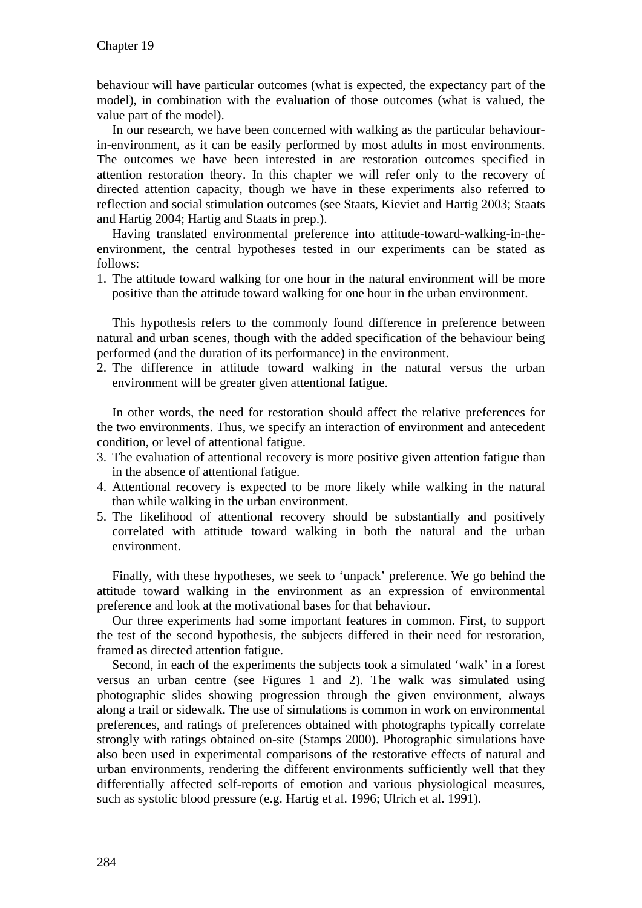behaviour will have particular outcomes (what is expected, the expectancy part of the model), in combination with the evaluation of those outcomes (what is valued, the value part of the model).

In our research, we have been concerned with walking as the particular behaviourin-environment, as it can be easily performed by most adults in most environments. The outcomes we have been interested in are restoration outcomes specified in attention restoration theory. In this chapter we will refer only to the recovery of directed attention capacity, though we have in these experiments also referred to reflection and social stimulation outcomes (see Staats, Kieviet and Hartig 2003; Staats and Hartig 2004; Hartig and Staats in prep.).

Having translated environmental preference into attitude-toward-walking-in-theenvironment, the central hypotheses tested in our experiments can be stated as follows:

1. The attitude toward walking for one hour in the natural environment will be more positive than the attitude toward walking for one hour in the urban environment.

This hypothesis refers to the commonly found difference in preference between natural and urban scenes, though with the added specification of the behaviour being performed (and the duration of its performance) in the environment.

2. The difference in attitude toward walking in the natural versus the urban environment will be greater given attentional fatigue.

In other words, the need for restoration should affect the relative preferences for the two environments. Thus, we specify an interaction of environment and antecedent condition, or level of attentional fatigue.

- 3. The evaluation of attentional recovery is more positive given attention fatigue than in the absence of attentional fatigue.
- 4. Attentional recovery is expected to be more likely while walking in the natural than while walking in the urban environment.
- 5. The likelihood of attentional recovery should be substantially and positively correlated with attitude toward walking in both the natural and the urban environment.

Finally, with these hypotheses, we seek to 'unpack' preference. We go behind the attitude toward walking in the environment as an expression of environmental preference and look at the motivational bases for that behaviour.

Our three experiments had some important features in common. First, to support the test of the second hypothesis, the subjects differed in their need for restoration, framed as directed attention fatigue.

Second, in each of the experiments the subjects took a simulated 'walk' in a forest versus an urban centre (see Figures 1 and 2). The walk was simulated using photographic slides showing progression through the given environment, always along a trail or sidewalk. The use of simulations is common in work on environmental preferences, and ratings of preferences obtained with photographs typically correlate strongly with ratings obtained on-site (Stamps 2000). Photographic simulations have also been used in experimental comparisons of the restorative effects of natural and urban environments, rendering the different environments sufficiently well that they differentially affected self-reports of emotion and various physiological measures, such as systolic blood pressure (e.g. Hartig et al. 1996; Ulrich et al. 1991).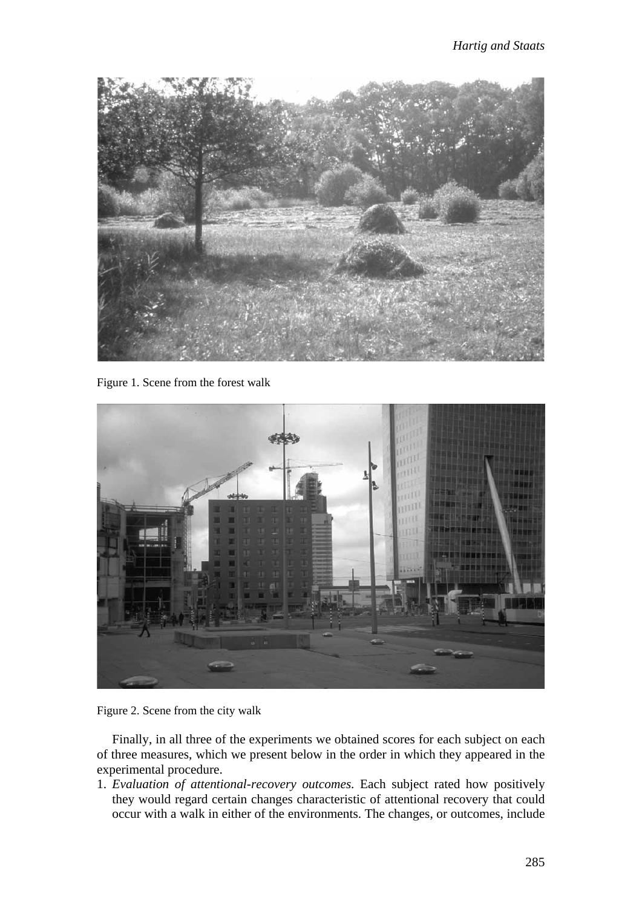

Figure 1. Scene from the forest walk





Finally, in all three of the experiments we obtained scores for each subject on each of three measures, which we present below in the order in which they appeared in the experimental procedure.

1. *Evaluation of attentional-recovery outcomes*. Each subject rated how positively they would regard certain changes characteristic of attentional recovery that could occur with a walk in either of the environments. The changes, or outcomes, include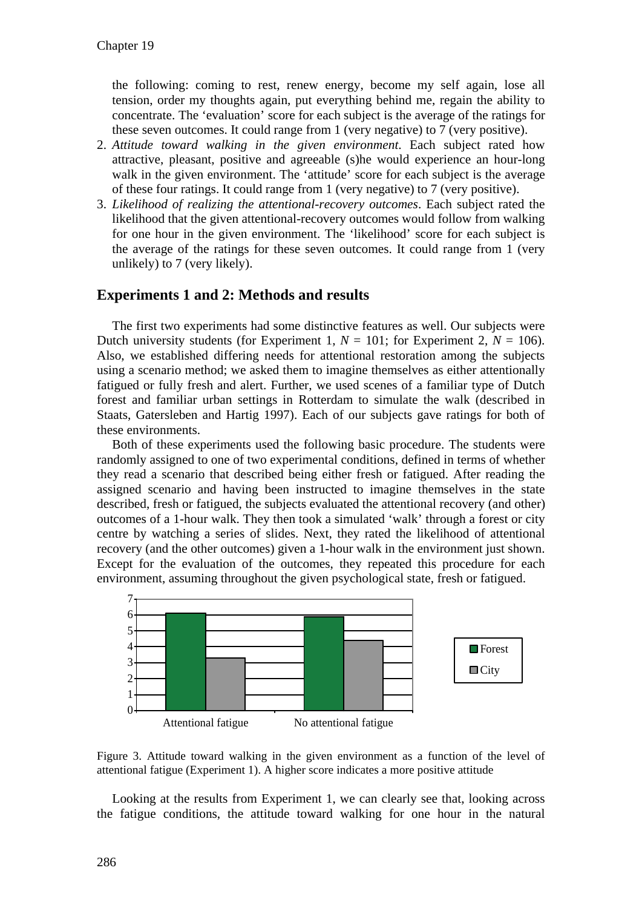the following: coming to rest, renew energy, become my self again, lose all tension, order my thoughts again, put everything behind me, regain the ability to concentrate. The 'evaluation' score for each subject is the average of the ratings for these seven outcomes. It could range from 1 (very negative) to 7 (very positive).

- 2. *Attitude toward walking in the given environment*. Each subject rated how attractive, pleasant, positive and agreeable (s)he would experience an hour-long walk in the given environment. The 'attitude' score for each subject is the average of these four ratings. It could range from 1 (very negative) to 7 (very positive).
- 3. *Likelihood of realizing the attentional-recovery outcomes*. Each subject rated the likelihood that the given attentional-recovery outcomes would follow from walking for one hour in the given environment. The 'likelihood' score for each subject is the average of the ratings for these seven outcomes. It could range from 1 (very unlikely) to 7 (very likely).

# **Experiments 1 and 2: Methods and results**

The first two experiments had some distinctive features as well. Our subjects were Dutch university students (for Experiment 1,  $N = 101$ ; for Experiment 2,  $N = 106$ ). Also, we established differing needs for attentional restoration among the subjects using a scenario method; we asked them to imagine themselves as either attentionally fatigued or fully fresh and alert. Further, we used scenes of a familiar type of Dutch forest and familiar urban settings in Rotterdam to simulate the walk (described in Staats, Gatersleben and Hartig 1997). Each of our subjects gave ratings for both of these environments.

Both of these experiments used the following basic procedure. The students were randomly assigned to one of two experimental conditions, defined in terms of whether they read a scenario that described being either fresh or fatigued. After reading the assigned scenario and having been instructed to imagine themselves in the state described, fresh or fatigued, the subjects evaluated the attentional recovery (and other) outcomes of a 1-hour walk. They then took a simulated 'walk' through a forest or city centre by watching a series of slides. Next, they rated the likelihood of attentional recovery (and the other outcomes) given a 1-hour walk in the environment just shown. Except for the evaluation of the outcomes, they repeated this procedure for each environment, assuming throughout the given psychological state, fresh or fatigued.



Figure 3. Attitude toward walking in the given environment as a function of the level of attentional fatigue (Experiment 1). A higher score indicates a more positive attitude

Looking at the results from Experiment 1, we can clearly see that, looking across the fatigue conditions, the attitude toward walking for one hour in the natural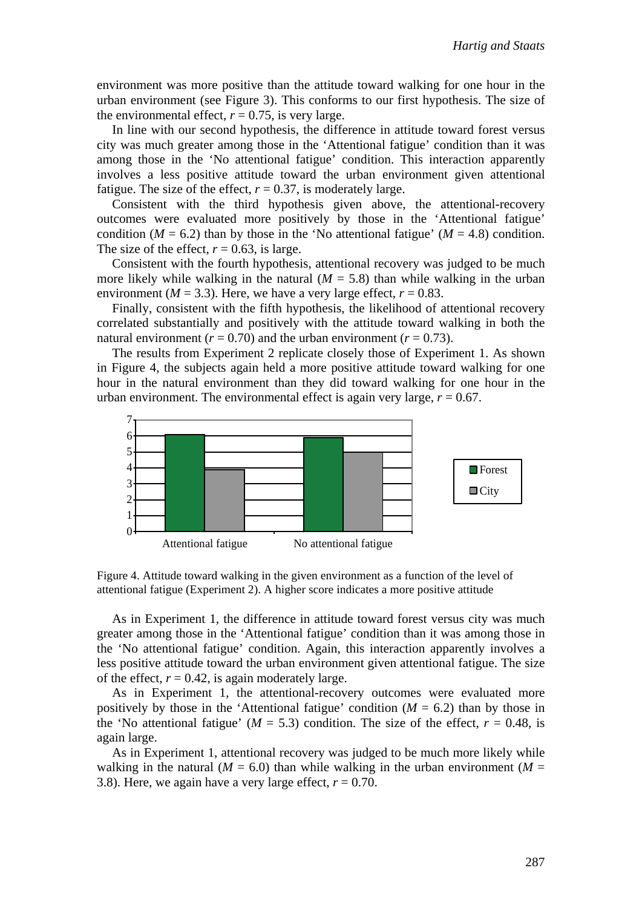environment was more positive than the attitude toward walking for one hour in the urban environment (see Figure 3). This conforms to our first hypothesis. The size of the environmental effect,  $r = 0.75$ , is very large.

In line with our second hypothesis, the difference in attitude toward forest versus city was much greater among those in the 'Attentional fatigue' condition than it was among those in the 'No attentional fatigue' condition. This interaction apparently involves a less positive attitude toward the urban environment given attentional fatigue. The size of the effect,  $r = 0.37$ , is moderately large.

Consistent with the third hypothesis given above, the attentional-recovery outcomes were evaluated more positively by those in the 'Attentional fatigue' condition ( $M = 6.2$ ) than by those in the 'No attentional fatigue' ( $M = 4.8$ ) condition. The size of the effect,  $r = 0.63$ , is large.

Consistent with the fourth hypothesis, attentional recovery was judged to be much more likely while walking in the natural  $(M = 5.8)$  than while walking in the urban environment ( $M = 3.3$ ). Here, we have a very large effect,  $r = 0.83$ .

Finally, consistent with the fifth hypothesis, the likelihood of attentional recovery correlated substantially and positively with the attitude toward walking in both the natural environment ( $r = 0.70$ ) and the urban environment ( $r = 0.73$ ).

The results from Experiment 2 replicate closely those of Experiment 1. As shown in Figure 4, the subjects again held a more positive attitude toward walking for one hour in the natural environment than they did toward walking for one hour in the urban environment. The environmental effect is again very large,  $r = 0.67$ .



Figure 4. Attitude toward walking in the given environment as a function of the level of attentional fatigue (Experiment 2). A higher score indicates a more positive attitude

As in Experiment 1, the difference in attitude toward forest versus city was much greater among those in the 'Attentional fatigue' condition than it was among those in the 'No attentional fatigue' condition. Again, this interaction apparently involves a less positive attitude toward the urban environment given attentional fatigue. The size of the effect,  $r = 0.42$ , is again moderately large.

As in Experiment 1, the attentional-recovery outcomes were evaluated more positively by those in the 'Attentional fatigue' condition  $(M = 6.2)$  than by those in the 'No attentional fatigue' ( $M = 5.3$ ) condition. The size of the effect,  $r = 0.48$ , is again large.

As in Experiment 1, attentional recovery was judged to be much more likely while walking in the natural ( $M = 6.0$ ) than while walking in the urban environment ( $M =$ 3.8). Here, we again have a very large effect,  $r = 0.70$ .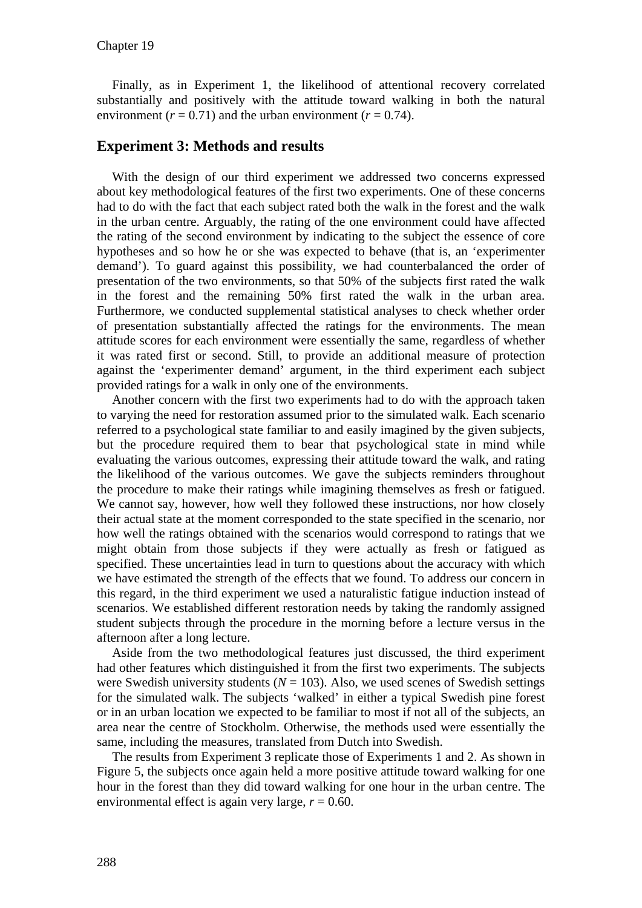Finally, as in Experiment 1, the likelihood of attentional recovery correlated substantially and positively with the attitude toward walking in both the natural environment ( $r = 0.71$ ) and the urban environment ( $r = 0.74$ ).

## **Experiment 3: Methods and results**

With the design of our third experiment we addressed two concerns expressed about key methodological features of the first two experiments. One of these concerns had to do with the fact that each subject rated both the walk in the forest and the walk in the urban centre. Arguably, the rating of the one environment could have affected the rating of the second environment by indicating to the subject the essence of core hypotheses and so how he or she was expected to behave (that is, an 'experimenter demand'). To guard against this possibility, we had counterbalanced the order of presentation of the two environments, so that 50% of the subjects first rated the walk in the forest and the remaining 50% first rated the walk in the urban area. Furthermore, we conducted supplemental statistical analyses to check whether order of presentation substantially affected the ratings for the environments. The mean attitude scores for each environment were essentially the same, regardless of whether it was rated first or second. Still, to provide an additional measure of protection against the 'experimenter demand' argument, in the third experiment each subject provided ratings for a walk in only one of the environments.

Another concern with the first two experiments had to do with the approach taken to varying the need for restoration assumed prior to the simulated walk. Each scenario referred to a psychological state familiar to and easily imagined by the given subjects, but the procedure required them to bear that psychological state in mind while evaluating the various outcomes, expressing their attitude toward the walk, and rating the likelihood of the various outcomes. We gave the subjects reminders throughout the procedure to make their ratings while imagining themselves as fresh or fatigued. We cannot say, however, how well they followed these instructions, nor how closely their actual state at the moment corresponded to the state specified in the scenario, nor how well the ratings obtained with the scenarios would correspond to ratings that we might obtain from those subjects if they were actually as fresh or fatigued as specified. These uncertainties lead in turn to questions about the accuracy with which we have estimated the strength of the effects that we found. To address our concern in this regard, in the third experiment we used a naturalistic fatigue induction instead of scenarios. We established different restoration needs by taking the randomly assigned student subjects through the procedure in the morning before a lecture versus in the afternoon after a long lecture.

Aside from the two methodological features just discussed, the third experiment had other features which distinguished it from the first two experiments. The subjects were Swedish university students  $(N = 103)$ . Also, we used scenes of Swedish settings for the simulated walk. The subjects 'walked' in either a typical Swedish pine forest or in an urban location we expected to be familiar to most if not all of the subjects, an area near the centre of Stockholm. Otherwise, the methods used were essentially the same, including the measures, translated from Dutch into Swedish.

The results from Experiment 3 replicate those of Experiments 1 and 2. As shown in Figure 5, the subjects once again held a more positive attitude toward walking for one hour in the forest than they did toward walking for one hour in the urban centre. The environmental effect is again very large,  $r = 0.60$ .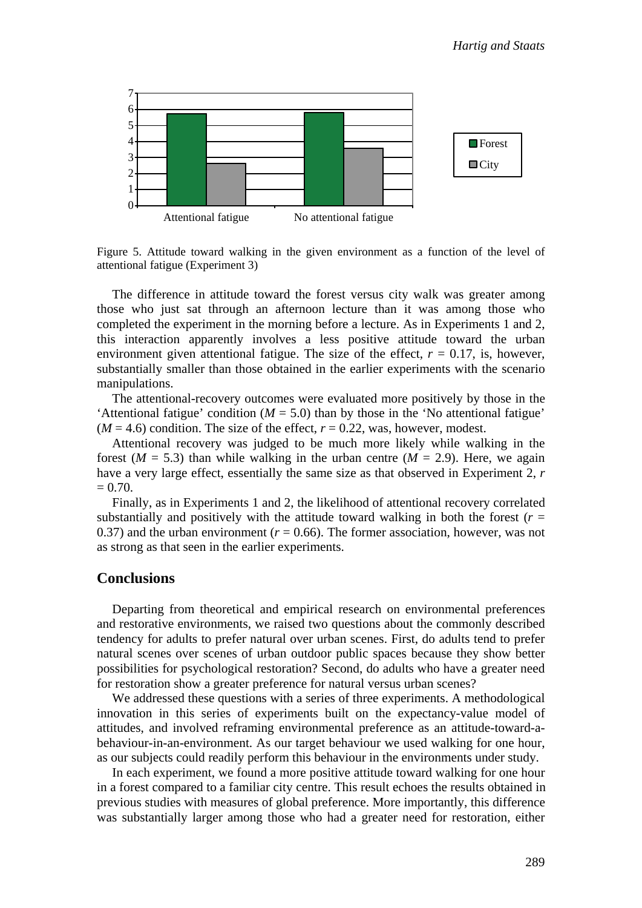

Figure 5. Attitude toward walking in the given environment as a function of the level of attentional fatigue (Experiment 3)

The difference in attitude toward the forest versus city walk was greater among those who just sat through an afternoon lecture than it was among those who completed the experiment in the morning before a lecture. As in Experiments 1 and 2, this interaction apparently involves a less positive attitude toward the urban environment given attentional fatigue. The size of the effect,  $r = 0.17$ , is, however, substantially smaller than those obtained in the earlier experiments with the scenario manipulations.

The attentional-recovery outcomes were evaluated more positively by those in the 'Attentional fatigue' condition ( $M = 5.0$ ) than by those in the 'No attentional fatigue'  $(M = 4.6)$  condition. The size of the effect,  $r = 0.22$ , was, however, modest.

Attentional recovery was judged to be much more likely while walking in the forest  $(M = 5.3)$  than while walking in the urban centre  $(M = 2.9)$ . Here, we again have a very large effect, essentially the same size as that observed in Experiment 2, *r*  $= 0.70.$ 

Finally, as in Experiments 1 and 2, the likelihood of attentional recovery correlated substantially and positively with the attitude toward walking in both the forest  $(r =$ 0.37) and the urban environment  $(r = 0.66)$ . The former association, however, was not as strong as that seen in the earlier experiments.

#### **Conclusions**

Departing from theoretical and empirical research on environmental preferences and restorative environments, we raised two questions about the commonly described tendency for adults to prefer natural over urban scenes. First, do adults tend to prefer natural scenes over scenes of urban outdoor public spaces because they show better possibilities for psychological restoration? Second, do adults who have a greater need for restoration show a greater preference for natural versus urban scenes?

We addressed these questions with a series of three experiments. A methodological innovation in this series of experiments built on the expectancy-value model of attitudes, and involved reframing environmental preference as an attitude-toward-abehaviour-in-an-environment. As our target behaviour we used walking for one hour, as our subjects could readily perform this behaviour in the environments under study.

In each experiment, we found a more positive attitude toward walking for one hour in a forest compared to a familiar city centre. This result echoes the results obtained in previous studies with measures of global preference. More importantly, this difference was substantially larger among those who had a greater need for restoration, either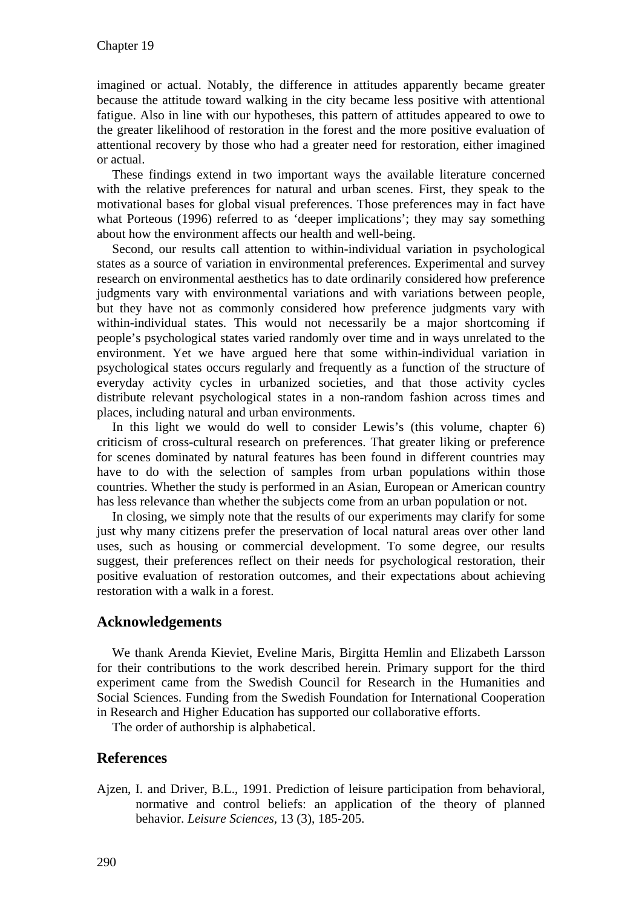imagined or actual. Notably, the difference in attitudes apparently became greater because the attitude toward walking in the city became less positive with attentional fatigue. Also in line with our hypotheses, this pattern of attitudes appeared to owe to the greater likelihood of restoration in the forest and the more positive evaluation of attentional recovery by those who had a greater need for restoration, either imagined or actual.

These findings extend in two important ways the available literature concerned with the relative preferences for natural and urban scenes. First, they speak to the motivational bases for global visual preferences. Those preferences may in fact have what Porteous (1996) referred to as 'deeper implications'; they may say something about how the environment affects our health and well-being.

Second, our results call attention to within-individual variation in psychological states as a source of variation in environmental preferences. Experimental and survey research on environmental aesthetics has to date ordinarily considered how preference judgments vary with environmental variations and with variations between people, but they have not as commonly considered how preference judgments vary with within-individual states. This would not necessarily be a major shortcoming if people's psychological states varied randomly over time and in ways unrelated to the environment. Yet we have argued here that some within-individual variation in psychological states occurs regularly and frequently as a function of the structure of everyday activity cycles in urbanized societies, and that those activity cycles distribute relevant psychological states in a non-random fashion across times and places, including natural and urban environments.

In this light we would do well to consider Lewis's (this volume, chapter 6) criticism of cross-cultural research on preferences. That greater liking or preference for scenes dominated by natural features has been found in different countries may have to do with the selection of samples from urban populations within those countries. Whether the study is performed in an Asian, European or American country has less relevance than whether the subjects come from an urban population or not.

In closing, we simply note that the results of our experiments may clarify for some just why many citizens prefer the preservation of local natural areas over other land uses, such as housing or commercial development. To some degree, our results suggest, their preferences reflect on their needs for psychological restoration, their positive evaluation of restoration outcomes, and their expectations about achieving restoration with a walk in a forest.

## **Acknowledgements**

We thank Arenda Kieviet, Eveline Maris, Birgitta Hemlin and Elizabeth Larsson for their contributions to the work described herein. Primary support for the third experiment came from the Swedish Council for Research in the Humanities and Social Sciences. Funding from the Swedish Foundation for International Cooperation in Research and Higher Education has supported our collaborative efforts.

The order of authorship is alphabetical.

## **References**

Ajzen, I. and Driver, B.L., 1991. Prediction of leisure participation from behavioral, normative and control beliefs: an application of the theory of planned behavior. *Leisure Sciences,* 13 (3), 185-205.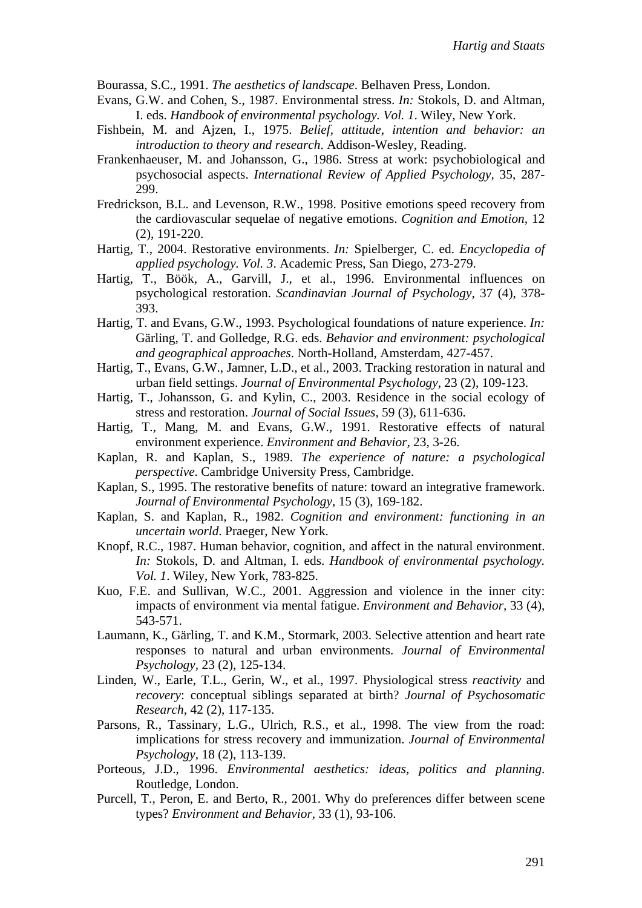Bourassa, S.C., 1991. *The aesthetics of landscape*. Belhaven Press, London.

- Evans, G.W. and Cohen, S., 1987. Environmental stress. *In:* Stokols, D. and Altman, I. eds. *Handbook of environmental psychology. Vol. 1*. Wiley, New York.
- Fishbein, M. and Ajzen, I., 1975. *Belief, attitude, intention and behavior: an introduction to theory and research*. Addison-Wesley, Reading.
- Frankenhaeuser, M. and Johansson, G., 1986. Stress at work: psychobiological and psychosocial aspects. *International Review of Applied Psychology,* 35, 287- 299.
- Fredrickson, B.L. and Levenson, R.W., 1998. Positive emotions speed recovery from the cardiovascular sequelae of negative emotions. *Cognition and Emotion,* 12 (2), 191-220.
- Hartig, T., 2004. Restorative environments. *In:* Spielberger, C. ed. *Encyclopedia of applied psychology. Vol. 3*. Academic Press, San Diego, 273-279.
- Hartig, T., Böök, A., Garvill, J., et al., 1996. Environmental influences on psychological restoration. *Scandinavian Journal of Psychology,* 37 (4), 378- 393.
- Hartig, T. and Evans, G.W., 1993. Psychological foundations of nature experience. *In:* Gärling, T. and Golledge, R.G. eds. *Behavior and environment: psychological and geographical approaches*. North-Holland, Amsterdam, 427-457.
- Hartig, T., Evans, G.W., Jamner, L.D., et al., 2003. Tracking restoration in natural and urban field settings. *Journal of Environmental Psychology,* 23 (2), 109-123.
- Hartig, T., Johansson, G. and Kylin, C., 2003. Residence in the social ecology of stress and restoration. *Journal of Social Issues,* 59 (3), 611-636.
- Hartig, T., Mang, M. and Evans, G.W., 1991. Restorative effects of natural environment experience. *Environment and Behavior,* 23, 3-26.
- Kaplan, R. and Kaplan, S., 1989. *The experience of nature: a psychological perspective*. Cambridge University Press, Cambridge.
- Kaplan, S., 1995. The restorative benefits of nature: toward an integrative framework. *Journal of Environmental Psychology,* 15 (3), 169-182.
- Kaplan, S. and Kaplan, R., 1982. *Cognition and environment: functioning in an uncertain world*. Praeger, New York.
- Knopf, R.C., 1987. Human behavior, cognition, and affect in the natural environment. *In:* Stokols, D. and Altman, I. eds. *Handbook of environmental psychology. Vol. 1*. Wiley, New York, 783-825.
- Kuo, F.E. and Sullivan, W.C., 2001. Aggression and violence in the inner city: impacts of environment via mental fatigue. *Environment and Behavior,* 33 (4), 543-571.
- Laumann, K., Gärling, T. and K.M., Stormark, 2003. Selective attention and heart rate responses to natural and urban environments. *Journal of Environmental Psychology,* 23 (2), 125-134.
- Linden, W., Earle, T.L., Gerin, W., et al., 1997. Physiological stress *reactivity* and *recovery*: conceptual siblings separated at birth? *Journal of Psychosomatic Research,* 42 (2), 117-135.
- Parsons, R., Tassinary, L.G., Ulrich, R.S., et al., 1998. The view from the road: implications for stress recovery and immunization. *Journal of Environmental Psychology,* 18 (2), 113-139.
- Porteous, J.D., 1996. *Environmental aesthetics: ideas, politics and planning*. Routledge, London.
- Purcell, T., Peron, E. and Berto, R., 2001. Why do preferences differ between scene types? *Environment and Behavior,* 33 (1), 93-106.